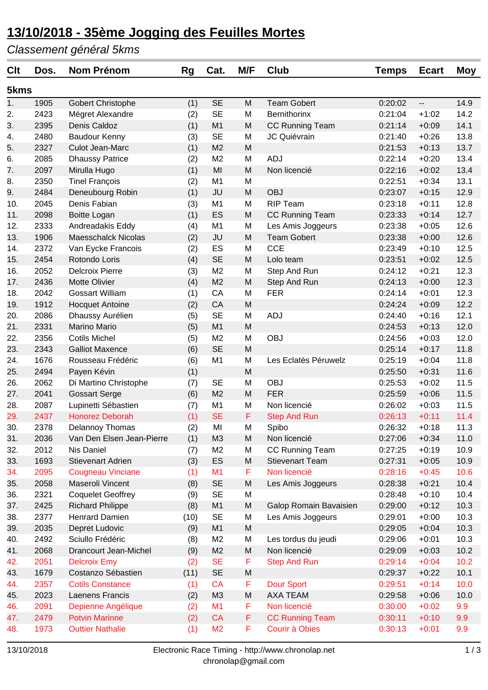### **13/10/2018 - 35ème Jogging des Feuilles Mortes**

*Classement général 5kms*

| <b>Clt</b> | Dos. | <b>Nom Prénom</b>          | Rg   | Cat.           | M/F | Club                   | <b>Temps</b> | <b>Ecart</b> | <b>Moy</b> |
|------------|------|----------------------------|------|----------------|-----|------------------------|--------------|--------------|------------|
| 5kms       |      |                            |      |                |     |                        |              |              |            |
| 1.         | 1905 | <b>Gobert Christophe</b>   | (1)  | <b>SE</b>      | M   | <b>Team Gobert</b>     | 0:20:02      | --           | 14.9       |
| 2.         | 2423 | Mégret Alexandre           | (2)  | <b>SE</b>      | M   | Bernithorinx           | 0:21:04      | $+1:02$      | 14.2       |
| 3.         | 2395 | Denis Caldoz               | (1)  | M <sub>1</sub> | M   | <b>CC Running Team</b> | 0:21:14      | $+0:09$      | 14.1       |
| 4.         | 2480 | Baudour Kenny              | (3)  | <b>SE</b>      | M   | JC Quiévrain           | 0:21:40      | $+0:26$      | 13.8       |
| 5.         | 2327 | Culot Jean-Marc            | (1)  | M <sub>2</sub> | M   |                        | 0:21:53      | $+0:13$      | 13.7       |
| 6.         | 2085 | <b>Dhaussy Patrice</b>     | (2)  | M <sub>2</sub> | M   | <b>ADJ</b>             | 0:22:14      | $+0:20$      | 13.4       |
| 7.         | 2097 | Mirulla Hugo               | (1)  | MI             | M   | Non licencié           | 0:22:16      | $+0:02$      | 13.4       |
| 8.         | 2350 | <b>Tinel François</b>      | (2)  | M <sub>1</sub> | M   |                        | 0:22:51      | $+0:34$      | 13.1       |
| 9.         | 2484 | Deneubourg Robin           | (1)  | <b>JU</b>      | M   | <b>OBJ</b>             | 0:23:07      | $+0:15$      | 12.9       |
| 10.        | 2045 | Denis Fabian               | (3)  | M <sub>1</sub> | M   | <b>RIP Team</b>        | 0:23:18      | $+0:11$      | 12.8       |
| 11.        | 2098 | <b>Boitte Logan</b>        | (1)  | ES             | M   | <b>CC Running Team</b> | 0:23:33      | $+0:14$      | 12.7       |
| 12.        | 2333 | Andreadakis Eddy           | (4)  | M <sub>1</sub> | M   | Les Amis Joggeurs      | 0:23:38      | $+0:05$      | 12.6       |
| 13.        | 1906 | <b>Maesschalck Nicolas</b> | (2)  | <b>JU</b>      | M   | <b>Team Gobert</b>     | 0:23:38      | $+0:00$      | 12.6       |
| 14.        | 2372 | Van Eycke Francois         | (2)  | ES             | M   | <b>CCE</b>             | 0:23:49      | $+0:10$      | 12.5       |
| 15.        | 2454 | Rotondo Loris              | (4)  | <b>SE</b>      | M   | Lolo team              | 0:23:51      | $+0:02$      | 12.5       |
| 16.        | 2052 | <b>Delcroix Pierre</b>     | (3)  | M <sub>2</sub> | M   | Step And Run           | 0:24:12      | $+0:21$      | 12.3       |
| 17.        | 2436 | <b>Motte Olivier</b>       | (4)  | M <sub>2</sub> | M   | Step And Run           | 0:24:13      | $+0:00$      | 12.3       |
| 18.        | 2042 | <b>Gossart William</b>     | (1)  | CA             | M   | <b>FER</b>             | 0:24:14      | $+0:01$      | 12.3       |
| 19.        | 1912 | <b>Hocquet Antoine</b>     | (2)  | CA             | M   |                        | 0:24:24      | $+0:09$      | 12.2       |
| 20.        | 2086 | Dhaussy Aurélien           | (5)  | <b>SE</b>      | M   | <b>ADJ</b>             | 0:24:40      | $+0:16$      | 12.1       |
| 21.        | 2331 | <b>Marino Mario</b>        | (5)  | M <sub>1</sub> | M   |                        | 0:24:53      | $+0:13$      | 12.0       |
| 22.        | 2356 | <b>Cotils Michel</b>       | (5)  | M <sub>2</sub> | M   | <b>OBJ</b>             | 0:24:56      | $+0:03$      | 12.0       |
| 23.        | 2343 | <b>Galliot Maxence</b>     | (6)  | <b>SE</b>      | M   |                        | 0:25:14      | $+0:17$      | 11.8       |
| 24.        | 1676 | Rousseau Frédéric          | (6)  | M <sub>1</sub> | M   | Les Eclatés Péruwelz   | 0:25:19      | $+0:04$      | 11.8       |
| 25.        | 2494 | Payen Kévin                | (1)  |                | M   |                        | 0:25:50      | $+0:31$      | 11.6       |
| 26.        | 2062 | Di Martino Christophe      | (7)  | <b>SE</b>      | M   | <b>OBJ</b>             | 0:25:53      | $+0:02$      | 11.5       |
| 27.        | 2041 | <b>Gossart Serge</b>       | (6)  | M <sub>2</sub> | M   | <b>FER</b>             | 0:25:59      | $+0:06$      | 11.5       |
| 28.        | 2087 | Lupinetti Sébastien        | (7)  | M <sub>1</sub> | M   | Non licencié           | 0:26:02      | $+0:03$      | 11.5       |
| 29.        | 2437 | Honorez Deborah            | (1)  | <b>SE</b>      | F   | <b>Step And Run</b>    | 0:26:13      | $+0:11$      | 11.4       |
| 30.        | 2378 | Delannoy Thomas            | (2)  | MI             | M   | Spibo                  | 0:26:32      | $+0:18$      | 11.3       |
| 31.        | 2036 | Van Den Elsen Jean-Pierre  | (1)  | M <sub>3</sub> | M   | Non licencié           | 0:27:06      | $+0:34$      | 11.0       |
| 32.        | 2012 | Nis Daniel                 | (7)  | M <sub>2</sub> | M   | CC Running Team        | 0:27:25      | $+0:19$      | 10.9       |
| 33.        | 1693 | <b>Stievenart Adrien</b>   | (3)  | ES             | M   | <b>Stievenart Team</b> | 0:27:31      | $+0:05$      | 10.9       |
| 34.        | 2095 | <b>Cougneau Vinciane</b>   | (1)  | M1             | F   | Non licencié           | 0:28:16      | $+0:45$      | 10.6       |
| 35.        | 2058 | Maseroli Vincent           | (8)  | <b>SE</b>      | M   | Les Amis Joggeurs      | 0:28:38      | $+0:21$      | 10.4       |
| 36.        | 2321 | <b>Coquelet Geoffrey</b>   | (9)  | <b>SE</b>      | M   |                        | 0:28:48      | $+0:10$      | 10.4       |
| 37.        | 2425 | <b>Richard Philippe</b>    | (8)  | M <sub>1</sub> | M   | Galop Romain Bavaisien | 0:29:00      | $+0:12$      | 10.3       |
| 38.        | 2377 | Henrard Damien             | (10) | <b>SE</b>      | M   | Les Amis Joggeurs      | 0:29:01      | $+0:00$      | 10.3       |
| 39.        | 2035 | Depret Ludovic             | (9)  | M <sub>1</sub> | M   |                        | 0:29:05      | $+0:04$      | 10.3       |
| 40.        | 2492 | Sciullo Frédéric           | (8)  | M <sub>2</sub> | M   | Les tordus du jeudi    | 0:29:06      | $+0:01$      | 10.3       |
| 41.        | 2068 | Drancourt Jean-Michel      | (9)  | M <sub>2</sub> | M   | Non licencié           | 0:29:09      | $+0:03$      | 10.2       |
| 42.        | 2051 | <b>Delcroix Emy</b>        | (2)  | <b>SE</b>      | F   | <b>Step And Run</b>    | 0:29:14      | $+0:04$      | 10.2       |
| 43.        | 1679 | Costanzo Sébastien         | (11) | <b>SE</b>      | M   |                        | 0:29:37      | $+0:22$      | 10.1       |
| 44.        | 2357 | <b>Cotils Constance</b>    | (1)  | <b>CA</b>      | F   | <b>Dour Sport</b>      | 0:29:51      | $+0:14$      | 10.0       |
| 45.        | 2023 | Laenens Francis            | (2)  | M <sub>3</sub> | M   | <b>AXA TEAM</b>        | 0:29:58      | $+0:06$      | 10.0       |
| 46.        | 2091 | Depienne Angélique         | (2)  | M1             | F   | Non licencié           | 0:30:00      | $+0:02$      | 9.9        |
| 47.        | 2479 | <b>Potvin Marinne</b>      | (2)  | <b>CA</b>      | F   | <b>CC Running Team</b> | 0:30:11      | $+0:10$      | 9.9        |
| 48.        | 1973 | <b>Outtier Nathalie</b>    | (1)  | M <sub>2</sub> | F   | Courir à Obies         | 0:30:13      | $+0:01$      | 9.9        |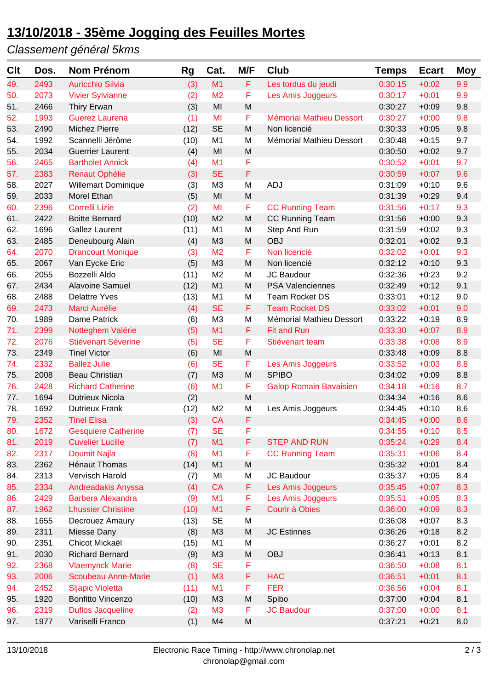# **13/10/2018 - 35ème Jogging des Feuilles Mortes**

### *Classement général 5kms*

| M <sub>1</sub><br>F<br>49.<br>2493<br><b>Auricchio Silvia</b><br>(3)<br>Les tordus du jeudi<br>0:30:15<br>$+0:02$<br>9.9<br>M <sub>2</sub><br>F<br>2073<br>Les Amis Joggeurs<br>0:30:17<br>9.9<br>50.<br><b>Vivier Sylvianne</b><br>(2)<br>$+0:01$<br>(3)<br>MI<br>M<br>0:30:27<br>9.8<br>51.<br>2466<br>Thiry Erwan<br>$+0:09$<br>F<br>1993<br><b>Guerez Laurena</b><br>0:30:27<br>9.8<br>52.<br>(1)<br>MI<br><b>Mémorial Mathieu Dessort</b><br>$+0:00$<br><b>SE</b><br>53.<br>2490<br>Michez Pierre<br>(12)<br>M<br>0:30:33<br>9.8<br>Non licencié<br>$+0:05$<br>1992<br>(10)<br>M <sub>1</sub><br>M<br>0:30:48<br>9.7<br>54.<br>Scannelli Jérôme<br>Mémorial Mathieu Dessort<br>$+0:15$<br>2034<br>MI<br>M<br>9.7<br>55.<br><b>Guerrier Laurent</b><br>(4)<br>0:30:50<br>$+0:02$<br>F<br>56.<br>2465<br><b>Bartholet Annick</b><br>M1<br>9.7<br>(4)<br>0:30:52<br>$+0:01$<br>$\mathsf F$<br><b>SE</b><br>2383<br><b>Renaut Ophélie</b><br>(3)<br>0:30:59<br>9.6<br>57.<br>$+0:07$<br>2027<br>(3)<br>M <sub>3</sub><br>M<br><b>ADJ</b><br>0:31:09<br>9.6<br>58.<br><b>Willemart Dominique</b><br>$+0:10$<br>2033<br>Morel Ethan<br>MI<br>M<br>0:31:39<br>9.4<br>59.<br>(5)<br>$+0:29$<br>F<br>2396<br><b>Correlli Lizie</b><br>MI<br>9.3<br>60.<br>(2)<br><b>CC Running Team</b><br>0:31:56<br>$+0:17$<br>2422<br>(10)<br>M <sub>2</sub><br>M<br>9.3<br>61.<br><b>Boitte Bernard</b><br><b>CC Running Team</b><br>0:31:56<br>$+0:00$<br>(11)<br>M <sub>1</sub><br>9.3<br>62.<br>1696<br><b>Gallez Laurent</b><br>M<br>Step And Run<br>0:31:59<br>$+0:02$<br>2485<br>M <sub>3</sub><br>M<br><b>OBJ</b><br>0:32:01<br>9.3<br>63.<br>Deneubourg Alain<br>(4)<br>$+0:02$<br>F<br>64.<br>2070<br>M <sub>2</sub><br>Non licencié<br>0:32:02<br>9.3<br><b>Drancourt Monique</b><br>(3)<br>$+0:01$<br>2067<br>Van Eycke Eric<br>(5)<br>M<br>Non licencié<br>0:32:12<br>9.3<br>65.<br>M <sub>3</sub><br>$+0:10$<br>9.2<br>66.<br>2055<br>Bozzelli Aldo<br>(11)<br>M <sub>2</sub><br>M<br>JC Baudour<br>0:32:36<br>$+0:23$<br>67.<br>2434<br><b>Alavoine Samuel</b><br>(12)<br>M <sub>1</sub><br>M<br>9.1<br><b>PSA Valenciennes</b><br>0:32:49<br>$+0:12$<br>M <sub>1</sub><br>68.<br>2488<br><b>Delattre Yves</b><br>(13)<br>M<br><b>Team Rocket DS</b><br>0:33:01<br>$+0:12$<br>9.0<br><b>SE</b><br>F<br>2473<br>Marci Aurélie<br>(4)<br><b>Team Rocket DS</b><br>0:33:02<br>9.0<br>69.<br>$+0:01$<br>M <sub>3</sub><br>1989<br>Dame Patrick<br>M<br>Mémorial Mathieu Dessort<br>0:33:22<br>$+0:19$<br>8.9<br>70.<br>(6)<br>F<br>71.<br>2399<br>Notteghem Valérie<br>(5)<br>M1<br><b>Fit and Run</b><br>8.9<br>0:33:30<br>$+0:07$<br><b>SE</b><br>F<br>72.<br>2076<br><b>Stiévenart Séverine</b><br>(5)<br>0:33:38<br>8.9<br>$+0:08$<br>Stiévenart team<br><b>Tinel Victor</b><br>(6)<br>MI<br>M<br>0:33:48<br>8.8<br>73.<br>2349<br>$+0:09$<br>74.<br>2332<br><b>SE</b><br>F<br>0:33:52<br><b>Ballez Julie</b><br>Les Amis Joggeurs<br>$+0:03$<br>8.8<br>(6)<br>75.<br>2008<br><b>Beau Christian</b><br>(7)<br>M <sub>3</sub><br>M<br><b>SPIBO</b><br>0:34:02<br>8.8<br>$+0:09$<br>2428<br>M1<br>F<br>76.<br><b>Richard Catherine</b><br>(6)<br>0:34:18<br>$+0:16$<br>8.7<br><b>Galop Romain Bavaisien</b><br>1694<br><b>Dutrieux Nicola</b><br>(2)<br>M<br>0:34:34<br>8.6<br>77.<br>$+0:16$<br>78.<br>1692<br><b>Dutrieux Frank</b><br>(12)<br>M <sub>2</sub><br>M<br>0:34:45<br>$+0:10$<br>8.6<br>Les Amis Joggeurs<br>F<br>2352<br><b>CA</b><br><b>Tinel Elisa</b><br>(3)<br>0:34:45<br>8.6<br>79.<br>$+0:00$<br><b>SE</b><br>F<br><b>Gesquiere Catherine</b><br>(7)<br>0:34:55<br>1672<br>8.5<br>80.<br>$+0:10$<br>F<br>81.<br><b>Cuvelier Lucille</b><br>(7)<br>M1<br><b>STEP AND RUN</b><br>2019<br>0:35:24<br>$+0:29$<br>8.4<br>F<br>82.<br>2317<br><b>Doumit Najla</b><br>(8)<br>M1<br><b>CC Running Team</b><br>0:35:31<br>8.4<br>$+0:06$<br>${\sf M}$<br>2362<br><b>Hénaut Thomas</b><br>(14)<br>M <sub>1</sub><br>0:35:32<br>83.<br>$+0:01$<br>8.4<br>Vervisch Harold<br>0:35:37<br>84.<br>2313<br>(7)<br>MI<br>M<br>JC Baudour<br>$+0:05$<br>8.4<br>F<br>85.<br>2334<br><b>Andreadakis Anyssa</b><br>(4)<br><b>CA</b><br>Les Amis Joggeurs<br>8.3<br>0:35:45<br>$+0:07$<br><b>Barbera Alexandra</b><br>M1<br>F<br>86.<br>2429<br>Les Amis Joggeurs<br>0:35:51<br>8.3<br>(9)<br>$+0:05$<br>F<br>87.<br><b>Lhussier Christine</b><br>(10)<br>M1<br>Courir à Obies<br>0:36:00<br>8.3<br>1962<br>$+0:09$<br><b>SE</b><br>88.<br>1655<br>(13)<br>M<br>0:36:08<br>8.3<br>Decrouez Amaury<br>$+0:07$<br>${\sf M}$<br>89.<br>2311<br>Miesse Dany<br>(8)<br>M <sub>3</sub><br><b>JC Estinnes</b><br>0:36:26<br>$+0:18$<br>8.2<br>Chicot Mickaël<br>M<br>2351<br>(15)<br>M <sub>1</sub><br>0:36:27<br>8.2<br>90.<br>$+0:01$<br><b>Richard Bernard</b><br>M<br><b>OBJ</b><br>0:36:41<br>$+0:13$<br>8.1<br>91.<br>2030<br>(9)<br>M <sub>3</sub><br>92.<br>2368<br><b>Vlaemynck Marie</b><br><b>SE</b><br>F<br>0:36:50<br>$+0:08$<br>8.1<br>(8)<br>Scoubeau Anne-Marie<br>(1)<br>F<br>93.<br>2006<br>M3<br><b>HAC</b><br>0:36:51<br>$+0:01$<br>8.1<br>F<br><b>FER</b><br>2452<br><b>Sljapic Violetta</b><br>(11)<br>M1<br>94.<br>0:36:56<br>$+0:04$<br>8.1<br>1920<br><b>Bonfitto Vincenzo</b><br>M <sub>3</sub><br>M<br>Spibo<br>0:37:00<br>8.1<br>95.<br>(10)<br>$+0:04$<br>F<br>96.<br>2319<br><b>Duflos Jacqueline</b><br>M <sub>3</sub><br><b>JC Baudour</b><br>0:37:00<br>8.1<br>(2)<br>$+0:00$<br>${\sf M}$<br>97.<br>1977<br>Variselli Franco<br>(1)<br>M4<br>0:37:21<br>$+0:21$<br>8.0 | Clt | Dos. | Nom Prénom | <b>Rg</b> | Cat. | M/F | <b>Club</b> | <b>Temps</b> | <b>Ecart</b> | <b>Moy</b> |
|---------------------------------------------------------------------------------------------------------------------------------------------------------------------------------------------------------------------------------------------------------------------------------------------------------------------------------------------------------------------------------------------------------------------------------------------------------------------------------------------------------------------------------------------------------------------------------------------------------------------------------------------------------------------------------------------------------------------------------------------------------------------------------------------------------------------------------------------------------------------------------------------------------------------------------------------------------------------------------------------------------------------------------------------------------------------------------------------------------------------------------------------------------------------------------------------------------------------------------------------------------------------------------------------------------------------------------------------------------------------------------------------------------------------------------------------------------------------------------------------------------------------------------------------------------------------------------------------------------------------------------------------------------------------------------------------------------------------------------------------------------------------------------------------------------------------------------------------------------------------------------------------------------------------------------------------------------------------------------------------------------------------------------------------------------------------------------------------------------------------------------------------------------------------------------------------------------------------------------------------------------------------------------------------------------------------------------------------------------------------------------------------------------------------------------------------------------------------------------------------------------------------------------------------------------------------------------------------------------------------------------------------------------------------------------------------------------------------------------------------------------------------------------------------------------------------------------------------------------------------------------------------------------------------------------------------------------------------------------------------------------------------------------------------------------------------------------------------------------------------------------------------------------------------------------------------------------------------------------------------------------------------------------------------------------------------------------------------------------------------------------------------------------------------------------------------------------------------------------------------------------------------------------------------------------------------------------------------------------------------------------------------------------------------------------------------------------------------------------------------------------------------------------------------------------------------------------------------------------------------------------------------------------------------------------------------------------------------------------------------------------------------------------------------------------------------------------------------------------------------------------------------------------------------------------------------------------------------------------------------------------------------------------------------------------------------------------------------------------------------------------------------------------------------------------------------------------------------------------------------------------------------------------------------------------------------------------------------------------------------------------------------------------------------------------------------------------------------------------------------------------------------------------------------------------------------------------------------------------------------------------------------------------------------------------------------------------------------------------------------------------------------------------------------------------------------------------------------------------------------------------------------------------------------------------------------------------------------------------------------------------------------------------------------------------------------------------------------------------------------------------------------------------------------------------------------------------------------------------------------|-----|------|------------|-----------|------|-----|-------------|--------------|--------------|------------|
|                                                                                                                                                                                                                                                                                                                                                                                                                                                                                                                                                                                                                                                                                                                                                                                                                                                                                                                                                                                                                                                                                                                                                                                                                                                                                                                                                                                                                                                                                                                                                                                                                                                                                                                                                                                                                                                                                                                                                                                                                                                                                                                                                                                                                                                                                                                                                                                                                                                                                                                                                                                                                                                                                                                                                                                                                                                                                                                                                                                                                                                                                                                                                                                                                                                                                                                                                                                                                                                                                                                                                                                                                                                                                                                                                                                                                                                                                                                                                                                                                                                                                                                                                                                                                                                                                                                                                                                                                                                                                                                                                                                                                                                                                                                                                                                                                                                                                                                                                                                                                                                                                                                                                                                                                                                                                                                                                                                                                                                                                             |     |      |            |           |      |     |             |              |              |            |
|                                                                                                                                                                                                                                                                                                                                                                                                                                                                                                                                                                                                                                                                                                                                                                                                                                                                                                                                                                                                                                                                                                                                                                                                                                                                                                                                                                                                                                                                                                                                                                                                                                                                                                                                                                                                                                                                                                                                                                                                                                                                                                                                                                                                                                                                                                                                                                                                                                                                                                                                                                                                                                                                                                                                                                                                                                                                                                                                                                                                                                                                                                                                                                                                                                                                                                                                                                                                                                                                                                                                                                                                                                                                                                                                                                                                                                                                                                                                                                                                                                                                                                                                                                                                                                                                                                                                                                                                                                                                                                                                                                                                                                                                                                                                                                                                                                                                                                                                                                                                                                                                                                                                                                                                                                                                                                                                                                                                                                                                                             |     |      |            |           |      |     |             |              |              |            |
|                                                                                                                                                                                                                                                                                                                                                                                                                                                                                                                                                                                                                                                                                                                                                                                                                                                                                                                                                                                                                                                                                                                                                                                                                                                                                                                                                                                                                                                                                                                                                                                                                                                                                                                                                                                                                                                                                                                                                                                                                                                                                                                                                                                                                                                                                                                                                                                                                                                                                                                                                                                                                                                                                                                                                                                                                                                                                                                                                                                                                                                                                                                                                                                                                                                                                                                                                                                                                                                                                                                                                                                                                                                                                                                                                                                                                                                                                                                                                                                                                                                                                                                                                                                                                                                                                                                                                                                                                                                                                                                                                                                                                                                                                                                                                                                                                                                                                                                                                                                                                                                                                                                                                                                                                                                                                                                                                                                                                                                                                             |     |      |            |           |      |     |             |              |              |            |
|                                                                                                                                                                                                                                                                                                                                                                                                                                                                                                                                                                                                                                                                                                                                                                                                                                                                                                                                                                                                                                                                                                                                                                                                                                                                                                                                                                                                                                                                                                                                                                                                                                                                                                                                                                                                                                                                                                                                                                                                                                                                                                                                                                                                                                                                                                                                                                                                                                                                                                                                                                                                                                                                                                                                                                                                                                                                                                                                                                                                                                                                                                                                                                                                                                                                                                                                                                                                                                                                                                                                                                                                                                                                                                                                                                                                                                                                                                                                                                                                                                                                                                                                                                                                                                                                                                                                                                                                                                                                                                                                                                                                                                                                                                                                                                                                                                                                                                                                                                                                                                                                                                                                                                                                                                                                                                                                                                                                                                                                                             |     |      |            |           |      |     |             |              |              |            |
|                                                                                                                                                                                                                                                                                                                                                                                                                                                                                                                                                                                                                                                                                                                                                                                                                                                                                                                                                                                                                                                                                                                                                                                                                                                                                                                                                                                                                                                                                                                                                                                                                                                                                                                                                                                                                                                                                                                                                                                                                                                                                                                                                                                                                                                                                                                                                                                                                                                                                                                                                                                                                                                                                                                                                                                                                                                                                                                                                                                                                                                                                                                                                                                                                                                                                                                                                                                                                                                                                                                                                                                                                                                                                                                                                                                                                                                                                                                                                                                                                                                                                                                                                                                                                                                                                                                                                                                                                                                                                                                                                                                                                                                                                                                                                                                                                                                                                                                                                                                                                                                                                                                                                                                                                                                                                                                                                                                                                                                                                             |     |      |            |           |      |     |             |              |              |            |
|                                                                                                                                                                                                                                                                                                                                                                                                                                                                                                                                                                                                                                                                                                                                                                                                                                                                                                                                                                                                                                                                                                                                                                                                                                                                                                                                                                                                                                                                                                                                                                                                                                                                                                                                                                                                                                                                                                                                                                                                                                                                                                                                                                                                                                                                                                                                                                                                                                                                                                                                                                                                                                                                                                                                                                                                                                                                                                                                                                                                                                                                                                                                                                                                                                                                                                                                                                                                                                                                                                                                                                                                                                                                                                                                                                                                                                                                                                                                                                                                                                                                                                                                                                                                                                                                                                                                                                                                                                                                                                                                                                                                                                                                                                                                                                                                                                                                                                                                                                                                                                                                                                                                                                                                                                                                                                                                                                                                                                                                                             |     |      |            |           |      |     |             |              |              |            |
|                                                                                                                                                                                                                                                                                                                                                                                                                                                                                                                                                                                                                                                                                                                                                                                                                                                                                                                                                                                                                                                                                                                                                                                                                                                                                                                                                                                                                                                                                                                                                                                                                                                                                                                                                                                                                                                                                                                                                                                                                                                                                                                                                                                                                                                                                                                                                                                                                                                                                                                                                                                                                                                                                                                                                                                                                                                                                                                                                                                                                                                                                                                                                                                                                                                                                                                                                                                                                                                                                                                                                                                                                                                                                                                                                                                                                                                                                                                                                                                                                                                                                                                                                                                                                                                                                                                                                                                                                                                                                                                                                                                                                                                                                                                                                                                                                                                                                                                                                                                                                                                                                                                                                                                                                                                                                                                                                                                                                                                                                             |     |      |            |           |      |     |             |              |              |            |
|                                                                                                                                                                                                                                                                                                                                                                                                                                                                                                                                                                                                                                                                                                                                                                                                                                                                                                                                                                                                                                                                                                                                                                                                                                                                                                                                                                                                                                                                                                                                                                                                                                                                                                                                                                                                                                                                                                                                                                                                                                                                                                                                                                                                                                                                                                                                                                                                                                                                                                                                                                                                                                                                                                                                                                                                                                                                                                                                                                                                                                                                                                                                                                                                                                                                                                                                                                                                                                                                                                                                                                                                                                                                                                                                                                                                                                                                                                                                                                                                                                                                                                                                                                                                                                                                                                                                                                                                                                                                                                                                                                                                                                                                                                                                                                                                                                                                                                                                                                                                                                                                                                                                                                                                                                                                                                                                                                                                                                                                                             |     |      |            |           |      |     |             |              |              |            |
|                                                                                                                                                                                                                                                                                                                                                                                                                                                                                                                                                                                                                                                                                                                                                                                                                                                                                                                                                                                                                                                                                                                                                                                                                                                                                                                                                                                                                                                                                                                                                                                                                                                                                                                                                                                                                                                                                                                                                                                                                                                                                                                                                                                                                                                                                                                                                                                                                                                                                                                                                                                                                                                                                                                                                                                                                                                                                                                                                                                                                                                                                                                                                                                                                                                                                                                                                                                                                                                                                                                                                                                                                                                                                                                                                                                                                                                                                                                                                                                                                                                                                                                                                                                                                                                                                                                                                                                                                                                                                                                                                                                                                                                                                                                                                                                                                                                                                                                                                                                                                                                                                                                                                                                                                                                                                                                                                                                                                                                                                             |     |      |            |           |      |     |             |              |              |            |
|                                                                                                                                                                                                                                                                                                                                                                                                                                                                                                                                                                                                                                                                                                                                                                                                                                                                                                                                                                                                                                                                                                                                                                                                                                                                                                                                                                                                                                                                                                                                                                                                                                                                                                                                                                                                                                                                                                                                                                                                                                                                                                                                                                                                                                                                                                                                                                                                                                                                                                                                                                                                                                                                                                                                                                                                                                                                                                                                                                                                                                                                                                                                                                                                                                                                                                                                                                                                                                                                                                                                                                                                                                                                                                                                                                                                                                                                                                                                                                                                                                                                                                                                                                                                                                                                                                                                                                                                                                                                                                                                                                                                                                                                                                                                                                                                                                                                                                                                                                                                                                                                                                                                                                                                                                                                                                                                                                                                                                                                                             |     |      |            |           |      |     |             |              |              |            |
|                                                                                                                                                                                                                                                                                                                                                                                                                                                                                                                                                                                                                                                                                                                                                                                                                                                                                                                                                                                                                                                                                                                                                                                                                                                                                                                                                                                                                                                                                                                                                                                                                                                                                                                                                                                                                                                                                                                                                                                                                                                                                                                                                                                                                                                                                                                                                                                                                                                                                                                                                                                                                                                                                                                                                                                                                                                                                                                                                                                                                                                                                                                                                                                                                                                                                                                                                                                                                                                                                                                                                                                                                                                                                                                                                                                                                                                                                                                                                                                                                                                                                                                                                                                                                                                                                                                                                                                                                                                                                                                                                                                                                                                                                                                                                                                                                                                                                                                                                                                                                                                                                                                                                                                                                                                                                                                                                                                                                                                                                             |     |      |            |           |      |     |             |              |              |            |
|                                                                                                                                                                                                                                                                                                                                                                                                                                                                                                                                                                                                                                                                                                                                                                                                                                                                                                                                                                                                                                                                                                                                                                                                                                                                                                                                                                                                                                                                                                                                                                                                                                                                                                                                                                                                                                                                                                                                                                                                                                                                                                                                                                                                                                                                                                                                                                                                                                                                                                                                                                                                                                                                                                                                                                                                                                                                                                                                                                                                                                                                                                                                                                                                                                                                                                                                                                                                                                                                                                                                                                                                                                                                                                                                                                                                                                                                                                                                                                                                                                                                                                                                                                                                                                                                                                                                                                                                                                                                                                                                                                                                                                                                                                                                                                                                                                                                                                                                                                                                                                                                                                                                                                                                                                                                                                                                                                                                                                                                                             |     |      |            |           |      |     |             |              |              |            |
|                                                                                                                                                                                                                                                                                                                                                                                                                                                                                                                                                                                                                                                                                                                                                                                                                                                                                                                                                                                                                                                                                                                                                                                                                                                                                                                                                                                                                                                                                                                                                                                                                                                                                                                                                                                                                                                                                                                                                                                                                                                                                                                                                                                                                                                                                                                                                                                                                                                                                                                                                                                                                                                                                                                                                                                                                                                                                                                                                                                                                                                                                                                                                                                                                                                                                                                                                                                                                                                                                                                                                                                                                                                                                                                                                                                                                                                                                                                                                                                                                                                                                                                                                                                                                                                                                                                                                                                                                                                                                                                                                                                                                                                                                                                                                                                                                                                                                                                                                                                                                                                                                                                                                                                                                                                                                                                                                                                                                                                                                             |     |      |            |           |      |     |             |              |              |            |
|                                                                                                                                                                                                                                                                                                                                                                                                                                                                                                                                                                                                                                                                                                                                                                                                                                                                                                                                                                                                                                                                                                                                                                                                                                                                                                                                                                                                                                                                                                                                                                                                                                                                                                                                                                                                                                                                                                                                                                                                                                                                                                                                                                                                                                                                                                                                                                                                                                                                                                                                                                                                                                                                                                                                                                                                                                                                                                                                                                                                                                                                                                                                                                                                                                                                                                                                                                                                                                                                                                                                                                                                                                                                                                                                                                                                                                                                                                                                                                                                                                                                                                                                                                                                                                                                                                                                                                                                                                                                                                                                                                                                                                                                                                                                                                                                                                                                                                                                                                                                                                                                                                                                                                                                                                                                                                                                                                                                                                                                                             |     |      |            |           |      |     |             |              |              |            |
|                                                                                                                                                                                                                                                                                                                                                                                                                                                                                                                                                                                                                                                                                                                                                                                                                                                                                                                                                                                                                                                                                                                                                                                                                                                                                                                                                                                                                                                                                                                                                                                                                                                                                                                                                                                                                                                                                                                                                                                                                                                                                                                                                                                                                                                                                                                                                                                                                                                                                                                                                                                                                                                                                                                                                                                                                                                                                                                                                                                                                                                                                                                                                                                                                                                                                                                                                                                                                                                                                                                                                                                                                                                                                                                                                                                                                                                                                                                                                                                                                                                                                                                                                                                                                                                                                                                                                                                                                                                                                                                                                                                                                                                                                                                                                                                                                                                                                                                                                                                                                                                                                                                                                                                                                                                                                                                                                                                                                                                                                             |     |      |            |           |      |     |             |              |              |            |
|                                                                                                                                                                                                                                                                                                                                                                                                                                                                                                                                                                                                                                                                                                                                                                                                                                                                                                                                                                                                                                                                                                                                                                                                                                                                                                                                                                                                                                                                                                                                                                                                                                                                                                                                                                                                                                                                                                                                                                                                                                                                                                                                                                                                                                                                                                                                                                                                                                                                                                                                                                                                                                                                                                                                                                                                                                                                                                                                                                                                                                                                                                                                                                                                                                                                                                                                                                                                                                                                                                                                                                                                                                                                                                                                                                                                                                                                                                                                                                                                                                                                                                                                                                                                                                                                                                                                                                                                                                                                                                                                                                                                                                                                                                                                                                                                                                                                                                                                                                                                                                                                                                                                                                                                                                                                                                                                                                                                                                                                                             |     |      |            |           |      |     |             |              |              |            |
|                                                                                                                                                                                                                                                                                                                                                                                                                                                                                                                                                                                                                                                                                                                                                                                                                                                                                                                                                                                                                                                                                                                                                                                                                                                                                                                                                                                                                                                                                                                                                                                                                                                                                                                                                                                                                                                                                                                                                                                                                                                                                                                                                                                                                                                                                                                                                                                                                                                                                                                                                                                                                                                                                                                                                                                                                                                                                                                                                                                                                                                                                                                                                                                                                                                                                                                                                                                                                                                                                                                                                                                                                                                                                                                                                                                                                                                                                                                                                                                                                                                                                                                                                                                                                                                                                                                                                                                                                                                                                                                                                                                                                                                                                                                                                                                                                                                                                                                                                                                                                                                                                                                                                                                                                                                                                                                                                                                                                                                                                             |     |      |            |           |      |     |             |              |              |            |
|                                                                                                                                                                                                                                                                                                                                                                                                                                                                                                                                                                                                                                                                                                                                                                                                                                                                                                                                                                                                                                                                                                                                                                                                                                                                                                                                                                                                                                                                                                                                                                                                                                                                                                                                                                                                                                                                                                                                                                                                                                                                                                                                                                                                                                                                                                                                                                                                                                                                                                                                                                                                                                                                                                                                                                                                                                                                                                                                                                                                                                                                                                                                                                                                                                                                                                                                                                                                                                                                                                                                                                                                                                                                                                                                                                                                                                                                                                                                                                                                                                                                                                                                                                                                                                                                                                                                                                                                                                                                                                                                                                                                                                                                                                                                                                                                                                                                                                                                                                                                                                                                                                                                                                                                                                                                                                                                                                                                                                                                                             |     |      |            |           |      |     |             |              |              |            |
|                                                                                                                                                                                                                                                                                                                                                                                                                                                                                                                                                                                                                                                                                                                                                                                                                                                                                                                                                                                                                                                                                                                                                                                                                                                                                                                                                                                                                                                                                                                                                                                                                                                                                                                                                                                                                                                                                                                                                                                                                                                                                                                                                                                                                                                                                                                                                                                                                                                                                                                                                                                                                                                                                                                                                                                                                                                                                                                                                                                                                                                                                                                                                                                                                                                                                                                                                                                                                                                                                                                                                                                                                                                                                                                                                                                                                                                                                                                                                                                                                                                                                                                                                                                                                                                                                                                                                                                                                                                                                                                                                                                                                                                                                                                                                                                                                                                                                                                                                                                                                                                                                                                                                                                                                                                                                                                                                                                                                                                                                             |     |      |            |           |      |     |             |              |              |            |
|                                                                                                                                                                                                                                                                                                                                                                                                                                                                                                                                                                                                                                                                                                                                                                                                                                                                                                                                                                                                                                                                                                                                                                                                                                                                                                                                                                                                                                                                                                                                                                                                                                                                                                                                                                                                                                                                                                                                                                                                                                                                                                                                                                                                                                                                                                                                                                                                                                                                                                                                                                                                                                                                                                                                                                                                                                                                                                                                                                                                                                                                                                                                                                                                                                                                                                                                                                                                                                                                                                                                                                                                                                                                                                                                                                                                                                                                                                                                                                                                                                                                                                                                                                                                                                                                                                                                                                                                                                                                                                                                                                                                                                                                                                                                                                                                                                                                                                                                                                                                                                                                                                                                                                                                                                                                                                                                                                                                                                                                                             |     |      |            |           |      |     |             |              |              |            |
|                                                                                                                                                                                                                                                                                                                                                                                                                                                                                                                                                                                                                                                                                                                                                                                                                                                                                                                                                                                                                                                                                                                                                                                                                                                                                                                                                                                                                                                                                                                                                                                                                                                                                                                                                                                                                                                                                                                                                                                                                                                                                                                                                                                                                                                                                                                                                                                                                                                                                                                                                                                                                                                                                                                                                                                                                                                                                                                                                                                                                                                                                                                                                                                                                                                                                                                                                                                                                                                                                                                                                                                                                                                                                                                                                                                                                                                                                                                                                                                                                                                                                                                                                                                                                                                                                                                                                                                                                                                                                                                                                                                                                                                                                                                                                                                                                                                                                                                                                                                                                                                                                                                                                                                                                                                                                                                                                                                                                                                                                             |     |      |            |           |      |     |             |              |              |            |
|                                                                                                                                                                                                                                                                                                                                                                                                                                                                                                                                                                                                                                                                                                                                                                                                                                                                                                                                                                                                                                                                                                                                                                                                                                                                                                                                                                                                                                                                                                                                                                                                                                                                                                                                                                                                                                                                                                                                                                                                                                                                                                                                                                                                                                                                                                                                                                                                                                                                                                                                                                                                                                                                                                                                                                                                                                                                                                                                                                                                                                                                                                                                                                                                                                                                                                                                                                                                                                                                                                                                                                                                                                                                                                                                                                                                                                                                                                                                                                                                                                                                                                                                                                                                                                                                                                                                                                                                                                                                                                                                                                                                                                                                                                                                                                                                                                                                                                                                                                                                                                                                                                                                                                                                                                                                                                                                                                                                                                                                                             |     |      |            |           |      |     |             |              |              |            |
|                                                                                                                                                                                                                                                                                                                                                                                                                                                                                                                                                                                                                                                                                                                                                                                                                                                                                                                                                                                                                                                                                                                                                                                                                                                                                                                                                                                                                                                                                                                                                                                                                                                                                                                                                                                                                                                                                                                                                                                                                                                                                                                                                                                                                                                                                                                                                                                                                                                                                                                                                                                                                                                                                                                                                                                                                                                                                                                                                                                                                                                                                                                                                                                                                                                                                                                                                                                                                                                                                                                                                                                                                                                                                                                                                                                                                                                                                                                                                                                                                                                                                                                                                                                                                                                                                                                                                                                                                                                                                                                                                                                                                                                                                                                                                                                                                                                                                                                                                                                                                                                                                                                                                                                                                                                                                                                                                                                                                                                                                             |     |      |            |           |      |     |             |              |              |            |
|                                                                                                                                                                                                                                                                                                                                                                                                                                                                                                                                                                                                                                                                                                                                                                                                                                                                                                                                                                                                                                                                                                                                                                                                                                                                                                                                                                                                                                                                                                                                                                                                                                                                                                                                                                                                                                                                                                                                                                                                                                                                                                                                                                                                                                                                                                                                                                                                                                                                                                                                                                                                                                                                                                                                                                                                                                                                                                                                                                                                                                                                                                                                                                                                                                                                                                                                                                                                                                                                                                                                                                                                                                                                                                                                                                                                                                                                                                                                                                                                                                                                                                                                                                                                                                                                                                                                                                                                                                                                                                                                                                                                                                                                                                                                                                                                                                                                                                                                                                                                                                                                                                                                                                                                                                                                                                                                                                                                                                                                                             |     |      |            |           |      |     |             |              |              |            |
|                                                                                                                                                                                                                                                                                                                                                                                                                                                                                                                                                                                                                                                                                                                                                                                                                                                                                                                                                                                                                                                                                                                                                                                                                                                                                                                                                                                                                                                                                                                                                                                                                                                                                                                                                                                                                                                                                                                                                                                                                                                                                                                                                                                                                                                                                                                                                                                                                                                                                                                                                                                                                                                                                                                                                                                                                                                                                                                                                                                                                                                                                                                                                                                                                                                                                                                                                                                                                                                                                                                                                                                                                                                                                                                                                                                                                                                                                                                                                                                                                                                                                                                                                                                                                                                                                                                                                                                                                                                                                                                                                                                                                                                                                                                                                                                                                                                                                                                                                                                                                                                                                                                                                                                                                                                                                                                                                                                                                                                                                             |     |      |            |           |      |     |             |              |              |            |
|                                                                                                                                                                                                                                                                                                                                                                                                                                                                                                                                                                                                                                                                                                                                                                                                                                                                                                                                                                                                                                                                                                                                                                                                                                                                                                                                                                                                                                                                                                                                                                                                                                                                                                                                                                                                                                                                                                                                                                                                                                                                                                                                                                                                                                                                                                                                                                                                                                                                                                                                                                                                                                                                                                                                                                                                                                                                                                                                                                                                                                                                                                                                                                                                                                                                                                                                                                                                                                                                                                                                                                                                                                                                                                                                                                                                                                                                                                                                                                                                                                                                                                                                                                                                                                                                                                                                                                                                                                                                                                                                                                                                                                                                                                                                                                                                                                                                                                                                                                                                                                                                                                                                                                                                                                                                                                                                                                                                                                                                                             |     |      |            |           |      |     |             |              |              |            |
|                                                                                                                                                                                                                                                                                                                                                                                                                                                                                                                                                                                                                                                                                                                                                                                                                                                                                                                                                                                                                                                                                                                                                                                                                                                                                                                                                                                                                                                                                                                                                                                                                                                                                                                                                                                                                                                                                                                                                                                                                                                                                                                                                                                                                                                                                                                                                                                                                                                                                                                                                                                                                                                                                                                                                                                                                                                                                                                                                                                                                                                                                                                                                                                                                                                                                                                                                                                                                                                                                                                                                                                                                                                                                                                                                                                                                                                                                                                                                                                                                                                                                                                                                                                                                                                                                                                                                                                                                                                                                                                                                                                                                                                                                                                                                                                                                                                                                                                                                                                                                                                                                                                                                                                                                                                                                                                                                                                                                                                                                             |     |      |            |           |      |     |             |              |              |            |
|                                                                                                                                                                                                                                                                                                                                                                                                                                                                                                                                                                                                                                                                                                                                                                                                                                                                                                                                                                                                                                                                                                                                                                                                                                                                                                                                                                                                                                                                                                                                                                                                                                                                                                                                                                                                                                                                                                                                                                                                                                                                                                                                                                                                                                                                                                                                                                                                                                                                                                                                                                                                                                                                                                                                                                                                                                                                                                                                                                                                                                                                                                                                                                                                                                                                                                                                                                                                                                                                                                                                                                                                                                                                                                                                                                                                                                                                                                                                                                                                                                                                                                                                                                                                                                                                                                                                                                                                                                                                                                                                                                                                                                                                                                                                                                                                                                                                                                                                                                                                                                                                                                                                                                                                                                                                                                                                                                                                                                                                                             |     |      |            |           |      |     |             |              |              |            |
|                                                                                                                                                                                                                                                                                                                                                                                                                                                                                                                                                                                                                                                                                                                                                                                                                                                                                                                                                                                                                                                                                                                                                                                                                                                                                                                                                                                                                                                                                                                                                                                                                                                                                                                                                                                                                                                                                                                                                                                                                                                                                                                                                                                                                                                                                                                                                                                                                                                                                                                                                                                                                                                                                                                                                                                                                                                                                                                                                                                                                                                                                                                                                                                                                                                                                                                                                                                                                                                                                                                                                                                                                                                                                                                                                                                                                                                                                                                                                                                                                                                                                                                                                                                                                                                                                                                                                                                                                                                                                                                                                                                                                                                                                                                                                                                                                                                                                                                                                                                                                                                                                                                                                                                                                                                                                                                                                                                                                                                                                             |     |      |            |           |      |     |             |              |              |            |
|                                                                                                                                                                                                                                                                                                                                                                                                                                                                                                                                                                                                                                                                                                                                                                                                                                                                                                                                                                                                                                                                                                                                                                                                                                                                                                                                                                                                                                                                                                                                                                                                                                                                                                                                                                                                                                                                                                                                                                                                                                                                                                                                                                                                                                                                                                                                                                                                                                                                                                                                                                                                                                                                                                                                                                                                                                                                                                                                                                                                                                                                                                                                                                                                                                                                                                                                                                                                                                                                                                                                                                                                                                                                                                                                                                                                                                                                                                                                                                                                                                                                                                                                                                                                                                                                                                                                                                                                                                                                                                                                                                                                                                                                                                                                                                                                                                                                                                                                                                                                                                                                                                                                                                                                                                                                                                                                                                                                                                                                                             |     |      |            |           |      |     |             |              |              |            |
|                                                                                                                                                                                                                                                                                                                                                                                                                                                                                                                                                                                                                                                                                                                                                                                                                                                                                                                                                                                                                                                                                                                                                                                                                                                                                                                                                                                                                                                                                                                                                                                                                                                                                                                                                                                                                                                                                                                                                                                                                                                                                                                                                                                                                                                                                                                                                                                                                                                                                                                                                                                                                                                                                                                                                                                                                                                                                                                                                                                                                                                                                                                                                                                                                                                                                                                                                                                                                                                                                                                                                                                                                                                                                                                                                                                                                                                                                                                                                                                                                                                                                                                                                                                                                                                                                                                                                                                                                                                                                                                                                                                                                                                                                                                                                                                                                                                                                                                                                                                                                                                                                                                                                                                                                                                                                                                                                                                                                                                                                             |     |      |            |           |      |     |             |              |              |            |
|                                                                                                                                                                                                                                                                                                                                                                                                                                                                                                                                                                                                                                                                                                                                                                                                                                                                                                                                                                                                                                                                                                                                                                                                                                                                                                                                                                                                                                                                                                                                                                                                                                                                                                                                                                                                                                                                                                                                                                                                                                                                                                                                                                                                                                                                                                                                                                                                                                                                                                                                                                                                                                                                                                                                                                                                                                                                                                                                                                                                                                                                                                                                                                                                                                                                                                                                                                                                                                                                                                                                                                                                                                                                                                                                                                                                                                                                                                                                                                                                                                                                                                                                                                                                                                                                                                                                                                                                                                                                                                                                                                                                                                                                                                                                                                                                                                                                                                                                                                                                                                                                                                                                                                                                                                                                                                                                                                                                                                                                                             |     |      |            |           |      |     |             |              |              |            |
|                                                                                                                                                                                                                                                                                                                                                                                                                                                                                                                                                                                                                                                                                                                                                                                                                                                                                                                                                                                                                                                                                                                                                                                                                                                                                                                                                                                                                                                                                                                                                                                                                                                                                                                                                                                                                                                                                                                                                                                                                                                                                                                                                                                                                                                                                                                                                                                                                                                                                                                                                                                                                                                                                                                                                                                                                                                                                                                                                                                                                                                                                                                                                                                                                                                                                                                                                                                                                                                                                                                                                                                                                                                                                                                                                                                                                                                                                                                                                                                                                                                                                                                                                                                                                                                                                                                                                                                                                                                                                                                                                                                                                                                                                                                                                                                                                                                                                                                                                                                                                                                                                                                                                                                                                                                                                                                                                                                                                                                                                             |     |      |            |           |      |     |             |              |              |            |
|                                                                                                                                                                                                                                                                                                                                                                                                                                                                                                                                                                                                                                                                                                                                                                                                                                                                                                                                                                                                                                                                                                                                                                                                                                                                                                                                                                                                                                                                                                                                                                                                                                                                                                                                                                                                                                                                                                                                                                                                                                                                                                                                                                                                                                                                                                                                                                                                                                                                                                                                                                                                                                                                                                                                                                                                                                                                                                                                                                                                                                                                                                                                                                                                                                                                                                                                                                                                                                                                                                                                                                                                                                                                                                                                                                                                                                                                                                                                                                                                                                                                                                                                                                                                                                                                                                                                                                                                                                                                                                                                                                                                                                                                                                                                                                                                                                                                                                                                                                                                                                                                                                                                                                                                                                                                                                                                                                                                                                                                                             |     |      |            |           |      |     |             |              |              |            |
|                                                                                                                                                                                                                                                                                                                                                                                                                                                                                                                                                                                                                                                                                                                                                                                                                                                                                                                                                                                                                                                                                                                                                                                                                                                                                                                                                                                                                                                                                                                                                                                                                                                                                                                                                                                                                                                                                                                                                                                                                                                                                                                                                                                                                                                                                                                                                                                                                                                                                                                                                                                                                                                                                                                                                                                                                                                                                                                                                                                                                                                                                                                                                                                                                                                                                                                                                                                                                                                                                                                                                                                                                                                                                                                                                                                                                                                                                                                                                                                                                                                                                                                                                                                                                                                                                                                                                                                                                                                                                                                                                                                                                                                                                                                                                                                                                                                                                                                                                                                                                                                                                                                                                                                                                                                                                                                                                                                                                                                                                             |     |      |            |           |      |     |             |              |              |            |
|                                                                                                                                                                                                                                                                                                                                                                                                                                                                                                                                                                                                                                                                                                                                                                                                                                                                                                                                                                                                                                                                                                                                                                                                                                                                                                                                                                                                                                                                                                                                                                                                                                                                                                                                                                                                                                                                                                                                                                                                                                                                                                                                                                                                                                                                                                                                                                                                                                                                                                                                                                                                                                                                                                                                                                                                                                                                                                                                                                                                                                                                                                                                                                                                                                                                                                                                                                                                                                                                                                                                                                                                                                                                                                                                                                                                                                                                                                                                                                                                                                                                                                                                                                                                                                                                                                                                                                                                                                                                                                                                                                                                                                                                                                                                                                                                                                                                                                                                                                                                                                                                                                                                                                                                                                                                                                                                                                                                                                                                                             |     |      |            |           |      |     |             |              |              |            |
|                                                                                                                                                                                                                                                                                                                                                                                                                                                                                                                                                                                                                                                                                                                                                                                                                                                                                                                                                                                                                                                                                                                                                                                                                                                                                                                                                                                                                                                                                                                                                                                                                                                                                                                                                                                                                                                                                                                                                                                                                                                                                                                                                                                                                                                                                                                                                                                                                                                                                                                                                                                                                                                                                                                                                                                                                                                                                                                                                                                                                                                                                                                                                                                                                                                                                                                                                                                                                                                                                                                                                                                                                                                                                                                                                                                                                                                                                                                                                                                                                                                                                                                                                                                                                                                                                                                                                                                                                                                                                                                                                                                                                                                                                                                                                                                                                                                                                                                                                                                                                                                                                                                                                                                                                                                                                                                                                                                                                                                                                             |     |      |            |           |      |     |             |              |              |            |
|                                                                                                                                                                                                                                                                                                                                                                                                                                                                                                                                                                                                                                                                                                                                                                                                                                                                                                                                                                                                                                                                                                                                                                                                                                                                                                                                                                                                                                                                                                                                                                                                                                                                                                                                                                                                                                                                                                                                                                                                                                                                                                                                                                                                                                                                                                                                                                                                                                                                                                                                                                                                                                                                                                                                                                                                                                                                                                                                                                                                                                                                                                                                                                                                                                                                                                                                                                                                                                                                                                                                                                                                                                                                                                                                                                                                                                                                                                                                                                                                                                                                                                                                                                                                                                                                                                                                                                                                                                                                                                                                                                                                                                                                                                                                                                                                                                                                                                                                                                                                                                                                                                                                                                                                                                                                                                                                                                                                                                                                                             |     |      |            |           |      |     |             |              |              |            |
|                                                                                                                                                                                                                                                                                                                                                                                                                                                                                                                                                                                                                                                                                                                                                                                                                                                                                                                                                                                                                                                                                                                                                                                                                                                                                                                                                                                                                                                                                                                                                                                                                                                                                                                                                                                                                                                                                                                                                                                                                                                                                                                                                                                                                                                                                                                                                                                                                                                                                                                                                                                                                                                                                                                                                                                                                                                                                                                                                                                                                                                                                                                                                                                                                                                                                                                                                                                                                                                                                                                                                                                                                                                                                                                                                                                                                                                                                                                                                                                                                                                                                                                                                                                                                                                                                                                                                                                                                                                                                                                                                                                                                                                                                                                                                                                                                                                                                                                                                                                                                                                                                                                                                                                                                                                                                                                                                                                                                                                                                             |     |      |            |           |      |     |             |              |              |            |
|                                                                                                                                                                                                                                                                                                                                                                                                                                                                                                                                                                                                                                                                                                                                                                                                                                                                                                                                                                                                                                                                                                                                                                                                                                                                                                                                                                                                                                                                                                                                                                                                                                                                                                                                                                                                                                                                                                                                                                                                                                                                                                                                                                                                                                                                                                                                                                                                                                                                                                                                                                                                                                                                                                                                                                                                                                                                                                                                                                                                                                                                                                                                                                                                                                                                                                                                                                                                                                                                                                                                                                                                                                                                                                                                                                                                                                                                                                                                                                                                                                                                                                                                                                                                                                                                                                                                                                                                                                                                                                                                                                                                                                                                                                                                                                                                                                                                                                                                                                                                                                                                                                                                                                                                                                                                                                                                                                                                                                                                                             |     |      |            |           |      |     |             |              |              |            |
|                                                                                                                                                                                                                                                                                                                                                                                                                                                                                                                                                                                                                                                                                                                                                                                                                                                                                                                                                                                                                                                                                                                                                                                                                                                                                                                                                                                                                                                                                                                                                                                                                                                                                                                                                                                                                                                                                                                                                                                                                                                                                                                                                                                                                                                                                                                                                                                                                                                                                                                                                                                                                                                                                                                                                                                                                                                                                                                                                                                                                                                                                                                                                                                                                                                                                                                                                                                                                                                                                                                                                                                                                                                                                                                                                                                                                                                                                                                                                                                                                                                                                                                                                                                                                                                                                                                                                                                                                                                                                                                                                                                                                                                                                                                                                                                                                                                                                                                                                                                                                                                                                                                                                                                                                                                                                                                                                                                                                                                                                             |     |      |            |           |      |     |             |              |              |            |
|                                                                                                                                                                                                                                                                                                                                                                                                                                                                                                                                                                                                                                                                                                                                                                                                                                                                                                                                                                                                                                                                                                                                                                                                                                                                                                                                                                                                                                                                                                                                                                                                                                                                                                                                                                                                                                                                                                                                                                                                                                                                                                                                                                                                                                                                                                                                                                                                                                                                                                                                                                                                                                                                                                                                                                                                                                                                                                                                                                                                                                                                                                                                                                                                                                                                                                                                                                                                                                                                                                                                                                                                                                                                                                                                                                                                                                                                                                                                                                                                                                                                                                                                                                                                                                                                                                                                                                                                                                                                                                                                                                                                                                                                                                                                                                                                                                                                                                                                                                                                                                                                                                                                                                                                                                                                                                                                                                                                                                                                                             |     |      |            |           |      |     |             |              |              |            |
|                                                                                                                                                                                                                                                                                                                                                                                                                                                                                                                                                                                                                                                                                                                                                                                                                                                                                                                                                                                                                                                                                                                                                                                                                                                                                                                                                                                                                                                                                                                                                                                                                                                                                                                                                                                                                                                                                                                                                                                                                                                                                                                                                                                                                                                                                                                                                                                                                                                                                                                                                                                                                                                                                                                                                                                                                                                                                                                                                                                                                                                                                                                                                                                                                                                                                                                                                                                                                                                                                                                                                                                                                                                                                                                                                                                                                                                                                                                                                                                                                                                                                                                                                                                                                                                                                                                                                                                                                                                                                                                                                                                                                                                                                                                                                                                                                                                                                                                                                                                                                                                                                                                                                                                                                                                                                                                                                                                                                                                                                             |     |      |            |           |      |     |             |              |              |            |
|                                                                                                                                                                                                                                                                                                                                                                                                                                                                                                                                                                                                                                                                                                                                                                                                                                                                                                                                                                                                                                                                                                                                                                                                                                                                                                                                                                                                                                                                                                                                                                                                                                                                                                                                                                                                                                                                                                                                                                                                                                                                                                                                                                                                                                                                                                                                                                                                                                                                                                                                                                                                                                                                                                                                                                                                                                                                                                                                                                                                                                                                                                                                                                                                                                                                                                                                                                                                                                                                                                                                                                                                                                                                                                                                                                                                                                                                                                                                                                                                                                                                                                                                                                                                                                                                                                                                                                                                                                                                                                                                                                                                                                                                                                                                                                                                                                                                                                                                                                                                                                                                                                                                                                                                                                                                                                                                                                                                                                                                                             |     |      |            |           |      |     |             |              |              |            |
|                                                                                                                                                                                                                                                                                                                                                                                                                                                                                                                                                                                                                                                                                                                                                                                                                                                                                                                                                                                                                                                                                                                                                                                                                                                                                                                                                                                                                                                                                                                                                                                                                                                                                                                                                                                                                                                                                                                                                                                                                                                                                                                                                                                                                                                                                                                                                                                                                                                                                                                                                                                                                                                                                                                                                                                                                                                                                                                                                                                                                                                                                                                                                                                                                                                                                                                                                                                                                                                                                                                                                                                                                                                                                                                                                                                                                                                                                                                                                                                                                                                                                                                                                                                                                                                                                                                                                                                                                                                                                                                                                                                                                                                                                                                                                                                                                                                                                                                                                                                                                                                                                                                                                                                                                                                                                                                                                                                                                                                                                             |     |      |            |           |      |     |             |              |              |            |
|                                                                                                                                                                                                                                                                                                                                                                                                                                                                                                                                                                                                                                                                                                                                                                                                                                                                                                                                                                                                                                                                                                                                                                                                                                                                                                                                                                                                                                                                                                                                                                                                                                                                                                                                                                                                                                                                                                                                                                                                                                                                                                                                                                                                                                                                                                                                                                                                                                                                                                                                                                                                                                                                                                                                                                                                                                                                                                                                                                                                                                                                                                                                                                                                                                                                                                                                                                                                                                                                                                                                                                                                                                                                                                                                                                                                                                                                                                                                                                                                                                                                                                                                                                                                                                                                                                                                                                                                                                                                                                                                                                                                                                                                                                                                                                                                                                                                                                                                                                                                                                                                                                                                                                                                                                                                                                                                                                                                                                                                                             |     |      |            |           |      |     |             |              |              |            |
|                                                                                                                                                                                                                                                                                                                                                                                                                                                                                                                                                                                                                                                                                                                                                                                                                                                                                                                                                                                                                                                                                                                                                                                                                                                                                                                                                                                                                                                                                                                                                                                                                                                                                                                                                                                                                                                                                                                                                                                                                                                                                                                                                                                                                                                                                                                                                                                                                                                                                                                                                                                                                                                                                                                                                                                                                                                                                                                                                                                                                                                                                                                                                                                                                                                                                                                                                                                                                                                                                                                                                                                                                                                                                                                                                                                                                                                                                                                                                                                                                                                                                                                                                                                                                                                                                                                                                                                                                                                                                                                                                                                                                                                                                                                                                                                                                                                                                                                                                                                                                                                                                                                                                                                                                                                                                                                                                                                                                                                                                             |     |      |            |           |      |     |             |              |              |            |
|                                                                                                                                                                                                                                                                                                                                                                                                                                                                                                                                                                                                                                                                                                                                                                                                                                                                                                                                                                                                                                                                                                                                                                                                                                                                                                                                                                                                                                                                                                                                                                                                                                                                                                                                                                                                                                                                                                                                                                                                                                                                                                                                                                                                                                                                                                                                                                                                                                                                                                                                                                                                                                                                                                                                                                                                                                                                                                                                                                                                                                                                                                                                                                                                                                                                                                                                                                                                                                                                                                                                                                                                                                                                                                                                                                                                                                                                                                                                                                                                                                                                                                                                                                                                                                                                                                                                                                                                                                                                                                                                                                                                                                                                                                                                                                                                                                                                                                                                                                                                                                                                                                                                                                                                                                                                                                                                                                                                                                                                                             |     |      |            |           |      |     |             |              |              |            |
|                                                                                                                                                                                                                                                                                                                                                                                                                                                                                                                                                                                                                                                                                                                                                                                                                                                                                                                                                                                                                                                                                                                                                                                                                                                                                                                                                                                                                                                                                                                                                                                                                                                                                                                                                                                                                                                                                                                                                                                                                                                                                                                                                                                                                                                                                                                                                                                                                                                                                                                                                                                                                                                                                                                                                                                                                                                                                                                                                                                                                                                                                                                                                                                                                                                                                                                                                                                                                                                                                                                                                                                                                                                                                                                                                                                                                                                                                                                                                                                                                                                                                                                                                                                                                                                                                                                                                                                                                                                                                                                                                                                                                                                                                                                                                                                                                                                                                                                                                                                                                                                                                                                                                                                                                                                                                                                                                                                                                                                                                             |     |      |            |           |      |     |             |              |              |            |